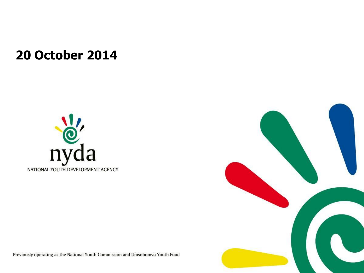#### **20 October 2014**





Previously operating as the National Youth Commission and Umsobomvu Youth Fund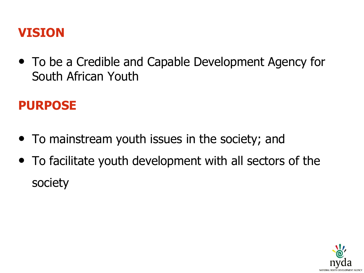#### **VISION**

• To be a Credible and Capable Development Agency for South African Youth

#### **PURPOSE**

- To mainstream youth issues in the society; and
- To facilitate youth development with all sectors of the society

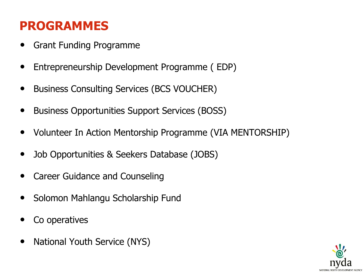## **PROGRAMMES**

- Grant Funding Programme
- Entrepreneurship Development Programme ( EDP)
- Business Consulting Services (BCS VOUCHER)
- Business Opportunities Support Services (BOSS)
- Volunteer In Action Mentorship Programme (VIA MENTORSHIP)
- Job Opportunities & Seekers Database (JOBS)
- Career Guidance and Counseling
- Solomon Mahlangu Scholarship Fund
- Co operatives
- National Youth Service (NYS)

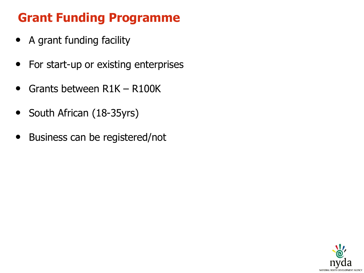# **Grant Funding Programme**

- A grant funding facility
- For start-up or existing enterprises
- Grants between R1K R100K
- South African (18-35yrs)
- Business can be registered/not

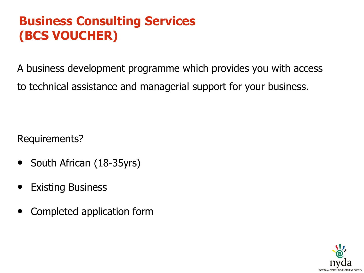## **Business Consulting Services (BCS VOUCHER)**

A business development programme which provides you with access to technical assistance and managerial support for your business.

Requirements?

- South African (18-35yrs)
- **Existing Business**
- Completed application form

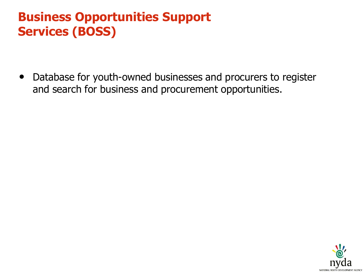### **Business Opportunities Support Services (BOSS)**

• Database for youth-owned businesses and procurers to register and search for business and procurement opportunities.

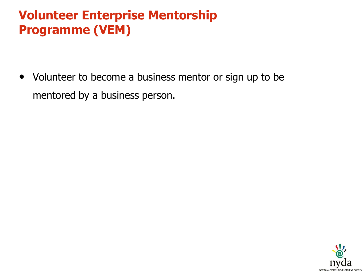## **Volunteer Enterprise Mentorship Programme (VEM)**

• Volunteer to become a business mentor or sign up to be mentored by a business person.

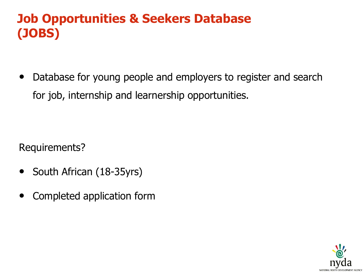# **Job Opportunities & Seekers Database (JOBS)**

• Database for young people and employers to register and search for job, internship and learnership opportunities.

Requirements?

- South African (18-35yrs)
- Completed application form